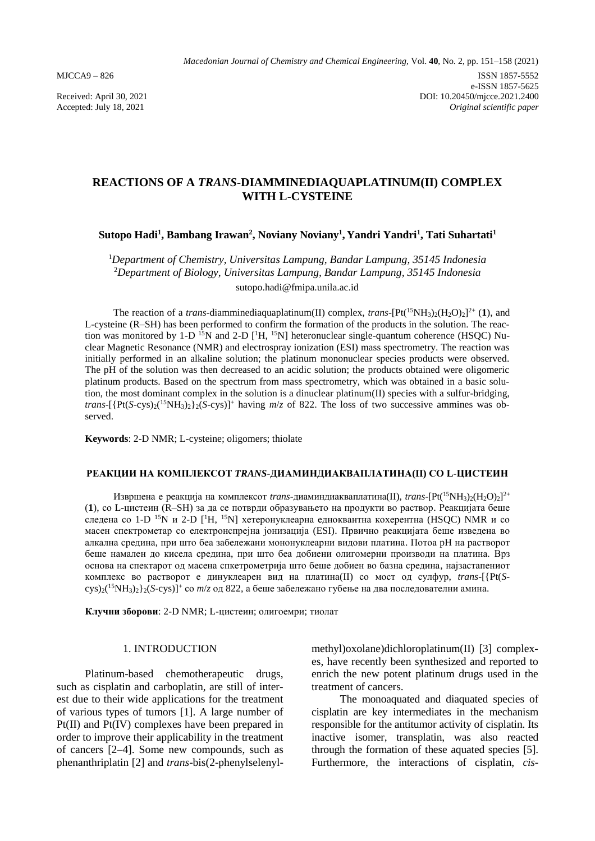# **REACTIONS OF A** *TRANS***-DIAMMINEDIAQUAPLATINUM(II) COMPLEX WITH L-CYSTEINE**

## **Sutopo Hadi<sup>1</sup> , Bambang Irawan<sup>2</sup> , Noviany Noviany<sup>1</sup> , Yandri Yandri<sup>1</sup> , Tati Suhartati<sup>1</sup>**

<sup>1</sup>*Department of Chemistry, Universitas Lampung, Bandar Lampung, 35145 Indonesia* <sup>2</sup>*Department of Biology, Universitas Lampung, Bandar Lampung, 35145 Indonesia* sutopo.hadi@fmipa.unila.ac.id

The reaction of a *trans*-diamminediaquaplatinum(II) complex, *trans*-[Pt(<sup>15</sup>NH<sub>3</sub>)<sub>2</sub>(H<sub>2</sub>O)<sub>2</sub>]<sup>2+</sup> (**1**), and L-cysteine (R–SH) has been performed to confirm the formation of the products in the solution. The reaction was monitored by 1-D  $^{15}N$  and 2-D  $[{}^{1}H, {}^{15}N]$  heteronuclear single-quantum coherence (HSQC) Nuclear Magnetic Resonance (NMR) and electrospray ionization (ESI) mass spectrometry. The reaction was initially performed in an alkaline solution; the platinum mononuclear species products were observed. The pH of the solution was then decreased to an acidic solution; the products obtained were oligomeric platinum products. Based on the spectrum from mass spectrometry, which was obtained in a basic solution, the most dominant complex in the solution is a dinuclear platinum(II) species with a sulfur-bridging, *trans*-[{Pt(*S*-cys)2( <sup>15</sup>NH3)2}2(*S*-cys)]<sup>+</sup> having *m*/*z* of 822. The loss of two successive ammines was observed.

**Keywords**: 2-D NMR; L-cysteine; oligomers; thiolate

#### **РЕАКЦИИ НА КОМПЛЕКСОТ** *TRANS***-ДИАМИНДИАКВАПЛАТИНА(II) СО L-ЦИСТЕИН**

Извршена е реакција на комплексот *trans-*диаминдиакваплатина(II), *trans*-[Pt(<sup>15</sup>NH3)2(H2O)2]<sup>2+</sup> (**1**), со L-цистеин (R–SH) за да се потврди образувањето на продукти во раствор. Реакцијата беше следена со 1-D <sup>15</sup>N и 2-D [<sup>1</sup>H, <sup>15</sup>N] хетеронуклеарна едноквантна кохерентна (HSQC) NMR и со масен спектрометар со електронспрејна јонизација (ESI). Првично реакцијата беше изведена во алкална средина, при што беа забележани мононуклеарни видови платина. Потоа pH на растворот беше намален до кисела средина, при што беа добиени олигомерни производи на платина. Врз основа на спектарот од масена спкетрометрија што беше добиен во базна средина, најзастапениот комплекс во растворот е динуклеарен вид на платина(II) со мост од сулфур, *trans*-[{Pt(*S*cys)2( <sup>15</sup>NH3)2}2(*S*-cys)]<sup>+</sup> со *m*/*z* од 822, а беше забележано губење на два последователни амина.

**Клучни зборови**: 2-D NMR; L-цистеин; олигоемри; тиолат

### 1. INTRODUCTION

Platinum-based chemotherapeutic drugs, such as cisplatin and carboplatin, are still of interest due to their wide applications for the treatment of various types of tumors [1]. A large number of Pt(II) and Pt(IV) complexes have been prepared in order to improve their applicability in the treatment of cancers [2–4]. Some new compounds, such as phenanthriplatin [2] and *trans*-bis(2-phenylselenylmethyl)oxolane)dichloroplatinum(II) [3] complexes, have recently been synthesized and reported to enrich the new potent platinum drugs used in the treatment of cancers.

The monoaquated and diaquated species of cisplatin are key intermediates in the mechanism responsible for the antitumor activity of cisplatin. Its inactive isomer, transplatin, was also reacted through the formation of these aquated species [5]. Furthermore, the interactions of cisplatin, *cis*-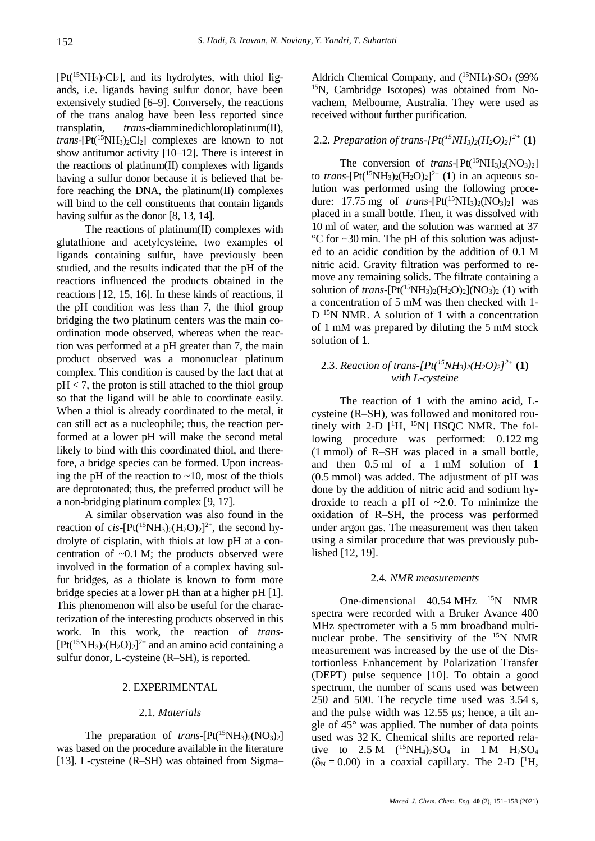$[Pt({}^{15}NH_3)_2Cl_2]$ , and its hydrolytes, with thiol ligands, i.e. ligands having sulfur donor, have been extensively studied [6–9]. Conversely, the reactions of the trans analog have been less reported since transplatin, *trans*-diamminedichloroplatinum(II), *trans*- $[Pt(^{15}NH_3)_2Cl_2]$  complexes are known to not show antitumor activity [10–12]. There is interest in the reactions of platinum(II) complexes with ligands having a sulfur donor because it is believed that before reaching the DNA, the platinum(II) complexes will bind to the cell constituents that contain ligands having sulfur as the donor [8, 13, 14].

The reactions of platinum(II) complexes with glutathione and acetylcysteine, two examples of ligands containing sulfur, have previously been studied, and the results indicated that the pH of the reactions influenced the products obtained in the reactions [12, 15, 16]. In these kinds of reactions, if the pH condition was less than 7, the thiol group bridging the two platinum centers was the main coordination mode observed, whereas when the reaction was performed at a pH greater than 7, the main product observed was a mononuclear platinum complex. This condition is caused by the fact that at  $pH < 7$ , the proton is still attached to the thiol group so that the ligand will be able to coordinate easily. When a thiol is already coordinated to the metal, it can still act as a nucleophile; thus, the reaction performed at a lower pH will make the second metal likely to bind with this coordinated thiol, and therefore, a bridge species can be formed. Upon increasing the pH of the reaction to  $\sim$ 10, most of the thiols are deprotonated; thus, the preferred product will be a non-bridging platinum complex [9, 17].

A similar observation was also found in the reaction of *cis*-[Pt(<sup>15</sup>NH<sub>3</sub>)<sub>2</sub>(H<sub>2</sub>O)<sub>2</sub>]<sup>2+</sup>, the second hydrolyte of cisplatin, with thiols at low pH at a concentration of  $\sim 0.1$  M; the products observed were involved in the formation of a complex having sulfur bridges, as a thiolate is known to form more bridge species at a lower pH than at a higher pH [1]. This phenomenon will also be useful for the characterization of the interesting products observed in this work. In this work, the reaction of *trans*-  $[Pt<sup>(15</sup>NH<sub>3</sub>)<sub>2</sub>(H<sub>2</sub>O)<sub>2</sub>]<sup>2+</sup>$  and an amino acid containing a sulfur donor, L-cysteine (R–SH), is reported.

### 2. EXPERIMENTAL

#### 2.1*. Materials*

The preparation of *trans*- $[Pt(^{15}NH_3)_2(NO_3)_2]$ was based on the procedure available in the literature [13]. L-cysteine (R–SH) was obtained from Sigma– Aldrich Chemical Company, and  $(^{15}NH_4)_2SO_4$  (99% 15N, Cambridge Isotopes) was obtained from Novachem, Melbourne, Australia. They were used as received without further purification.

## 2.2*. Preparation of trans-[Pt(<sup>15</sup>NH3)2(H2O)2] 2+* **(1)**

The conversion of *trans*- $[Pt(^{15}NH_3)_2(NO_3)_2]$ to *trans*-[Pt(<sup>15</sup>NH<sub>3</sub>)<sub>2</sub>(H<sub>2</sub>O)<sub>2</sub>]<sup>2+</sup> (1) in an aqueous solution was performed using the following procedure:  $17.75 \text{ mg}$  of *trans*- $[Pt(^{15}NH_3)_2(NO_3)_2]$  was placed in a small bottle. Then, it was dissolved with 10 ml of water, and the solution was warmed at 37 °C for ~30 min. The pH of this solution was adjusted to an acidic condition by the addition of 0.1 M nitric acid. Gravity filtration was performed to remove any remaining solids. The filtrate containing a solution of *trans*- $[Pt({}^{15}NH_3)_2(H_2O)_2](NO_3)_2$  (1) with a concentration of 5 mM was then checked with 1- D <sup>15</sup>N NMR. A solution of **1** with a concentration of 1 mM was prepared by diluting the 5 mM stock solution of **1**.

## 2.3. *Reaction of trans-[Pt(<sup>15</sup>NH3)2(H2O)2] 2+* **(1)** *with L-cysteine*

The reaction of **1** with the amino acid, Lcysteine (R–SH), was followed and monitored routinely with 2-D  $[$ <sup>1</sup>H, <sup>15</sup>N] HSQC NMR. The following procedure was performed: 0.122 mg (1 mmol) of R–SH was placed in a small bottle, and then 0.5 ml of a 1 mM solution of **1** (0.5 mmol) was added. The adjustment of pH was done by the addition of nitric acid and sodium hydroxide to reach a pH of ~2.0. To minimize the oxidation of R–SH, the process was performed under argon gas. The measurement was then taken using a similar procedure that was previously published [12, 19].

#### 2.4*. NMR measurements*

One-dimensional  $40.54 \text{ MHz}$  <sup>15</sup>N NMR spectra were recorded with a Bruker Avance 400 MHz spectrometer with a 5 mm broadband multinuclear probe. The sensitivity of the <sup>15</sup>N NMR measurement was increased by the use of the Distortionless Enhancement by Polarization Transfer (DEPT) pulse sequence [10]. To obtain a good spectrum, the number of scans used was between 250 and 500. The recycle time used was 3.54 s, and the pulse width was  $12.55 \,\mu s$ ; hence, a tilt angle of 45° was applied. The number of data points used was 32 K. Chemical shifts are reported relative to  $2.5 M$  (<sup>15</sup>NH<sub>4</sub>)<sub>2</sub>SO<sub>4</sub> in 1 M H<sub>2</sub>SO<sub>4</sub>  $(\delta_N = 0.00)$  in a coaxial capillary. The 2-D [<sup>1</sup>H,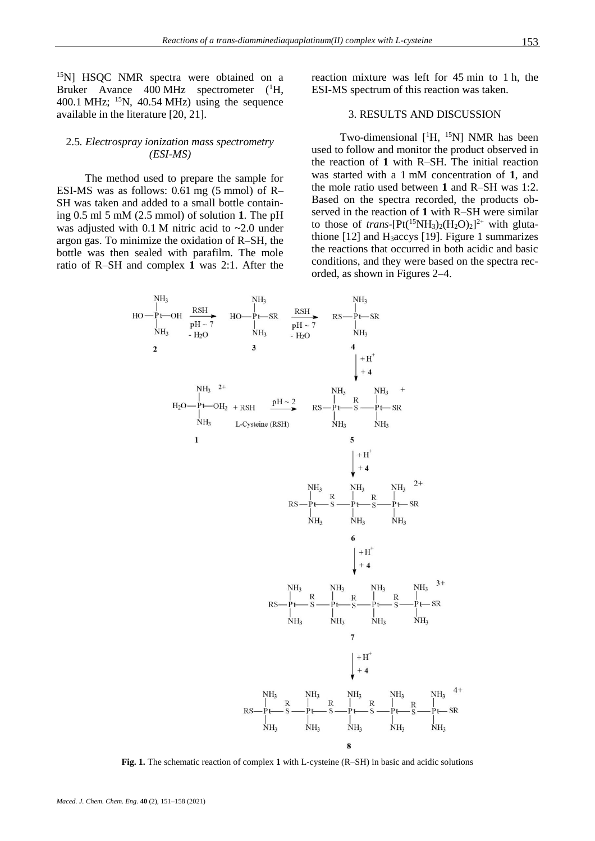<sup>15</sup>N] HSQC NMR spectra were obtained on a Bruker Avance 400 MHz spectrometer (<sup>1</sup>H, 400.1 MHz;  $^{15}N$ , 40.54 MHz) using the sequence available in the literature [20, 21].

### 2.5*. Electrospray ionization mass spectrometry (ESI-MS)*

The method used to prepare the sample for ESI-MS was as follows: 0.61 mg (5 mmol) of R– SH was taken and added to a small bottle containing 0.5 ml 5 mM (2.5 mmol) of solution **1**. The pH was adjusted with  $0.1$  M nitric acid to  $\sim 2.0$  under argon gas. To minimize the oxidation of R–SH, the bottle was then sealed with parafilm. The mole ratio of R–SH and complex **1** was 2:1. After the reaction mixture was left for 45 min to 1 h, the ESI-MS spectrum of this reaction was taken.

## 3. RESULTS AND DISCUSSION

Two-dimensional  $[$ <sup>1</sup>H, <sup>15</sup>N] NMR has been used to follow and monitor the product observed in the reaction of **1** with R–SH. The initial reaction was started with a 1 mM concentration of **1**, and the mole ratio used between **1** and R–SH was 1:2. Based on the spectra recorded, the products observed in the reaction of **1** with R–SH were similar to those of *trans*-[Pt(<sup>15</sup>NH<sub>3</sub>)<sub>2</sub>(H<sub>2</sub>O)<sub>2</sub>]<sup>2+</sup> with glutathione  $[12]$  and H<sub>3</sub>accys  $[19]$ . Figure 1 summarizes the reactions that occurred in both acidic and basic conditions, and they were based on the spectra recorded, as shown in Figures 2–4.



**Fig. 1.** The schematic reaction of complex **1** with L-cysteine (R–SH) in basic and acidic solutions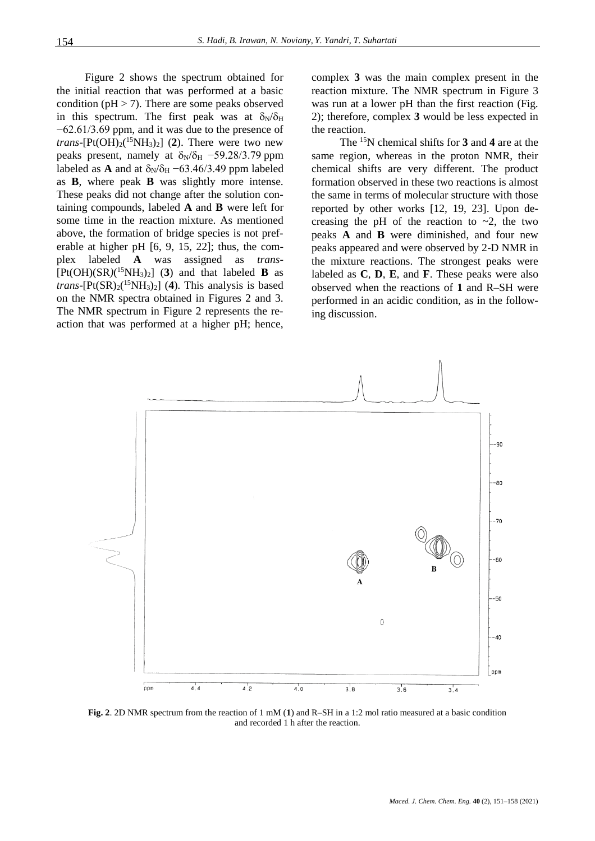Figure 2 shows the spectrum obtained for the initial reaction that was performed at a basic condition ( $pH > 7$ ). There are some peaks observed in this spectrum. The first peak was at  $\delta_N/\delta_H$ −62.61/3.69 ppm, and it was due to the presence of *trans*- $[Pt(OH)_2({}^{15}NH_3)_2]$  (2). There were two new peaks present, namely at  $\delta_N/\delta_H$  –59.28/3.79 ppm labeled as **A** and at  $\delta_N/\delta_H$  –63.46/3.49 ppm labeled as **B**, where peak **B** was slightly more intense. These peaks did not change after the solution containing compounds, labeled **A** and **B** were left for some time in the reaction mixture. As mentioned above, the formation of bridge species is not preferable at higher pH [6, 9, 15, 22]; thus, the complex labeled **A** was assigned as *trans*-  $[Pt(OH)(SR)(<sup>15</sup>NH<sub>3</sub>)<sub>2</sub>]$  (3) and that labeled **B** as *trans*-[ $Pt(SR)_2(^{15}NH_3)_2$ ] (4). This analysis is based on the NMR spectra obtained in Figures 2 and 3. The NMR spectrum in Figure 2 represents the reaction that was performed at a higher pH; hence,

complex **3** was the main complex present in the reaction mixture. The NMR spectrum in Figure 3 was run at a lower pH than the first reaction (Fig. 2); therefore, complex **3** would be less expected in the reaction.

The <sup>15</sup>N chemical shifts for **3** and **4** are at the same region, whereas in the proton NMR, their chemical shifts are very different. The product formation observed in these two reactions is almost the same in terms of molecular structure with those reported by other works [12, 19, 23]. Upon decreasing the pH of the reaction to  $\sim$ 2, the two peaks **A** and **B** were diminished, and four new peaks appeared and were observed by 2-D NMR in the mixture reactions. The strongest peaks were labeled as **C**, **D**, **E**, and **F**. These peaks were also observed when the reactions of **1** and R–SH were performed in an acidic condition, as in the following discussion.



**Fig. 2**. 2D NMR spectrum from the reaction of 1 mM (**1**) and R–SH in a 1:2 mol ratio measured at a basic condition and recorded 1 h after the reaction.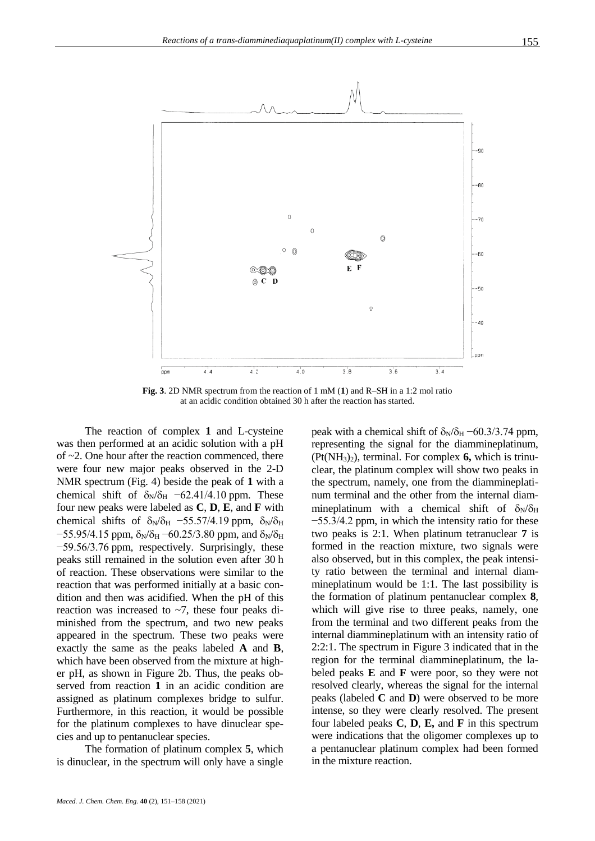

**Fig. 3**. 2D NMR spectrum from the reaction of 1 mM (**1**) and R–SH in a 1:2 mol ratio at an acidic condition obtained 30 h after the reaction has started.

The reaction of complex **1** and L-cysteine was then performed at an acidic solution with a pH of ~2. One hour after the reaction commenced, there were four new major peaks observed in the 2-D NMR spectrum (Fig. 4) beside the peak of **1** with a chemical shift of  $\delta_N/\delta_H$  –62.41/4.10 ppm. These four new peaks were labeled as **C**, **D**, **E**, and **F** with chemical shifts of  $\delta_N/\delta_H$  –55.57/4.19 ppm,  $\delta_N/\delta_H$  $-55.95/4.15$  ppm,  $\delta_N/\delta_H$  –60.25/3.80 ppm, and  $\delta_N/\delta_H$ −59.56/3.76 ppm, respectively. Surprisingly, these peaks still remained in the solution even after 30 h of reaction. These observations were similar to the reaction that was performed initially at a basic condition and then was acidified. When the pH of this reaction was increased to  $\sim$ 7, these four peaks diminished from the spectrum, and two new peaks appeared in the spectrum. These two peaks were exactly the same as the peaks labeled **A** and **B**, which have been observed from the mixture at higher pH, as shown in Figure 2b. Thus, the peaks observed from reaction **1** in an acidic condition are assigned as platinum complexes bridge to sulfur. Furthermore, in this reaction, it would be possible for the platinum complexes to have dinuclear species and up to pentanuclear species.

The formation of platinum complex **5**, which is dinuclear, in the spectrum will only have a single

*Maced. J. Chem. Chem. Eng.* **40** (2), 151–158 (2021)

peak with a chemical shift of  $\delta_N/\delta_H$  –60.3/3.74 ppm, representing the signal for the diammineplatinum, (Pt(NH3)2), terminal. For complex **6,** which is trinuclear, the platinum complex will show two peaks in the spectrum, namely, one from the diammineplatinum terminal and the other from the internal diammineplatinum with a chemical shift of  $\delta_N/\delta_H$ −55.3/4.2 ppm, in which the intensity ratio for these two peaks is 2:1. When platinum tetranuclear **7** is formed in the reaction mixture, two signals were also observed, but in this complex, the peak intensity ratio between the terminal and internal diammineplatinum would be 1:1. The last possibility is the formation of platinum pentanuclear complex **8**, which will give rise to three peaks, namely, one from the terminal and two different peaks from the internal diammineplatinum with an intensity ratio of 2:2:1. The spectrum in Figure 3 indicated that in the region for the terminal diammineplatinum, the labeled peaks **E** and **F** were poor, so they were not resolved clearly, whereas the signal for the internal peaks (labeled **C** and **D**) were observed to be more intense, so they were clearly resolved. The present four labeled peaks **C**, **D**, **E,** and **F** in this spectrum were indications that the oligomer complexes up to a pentanuclear platinum complex had been formed in the mixture reaction.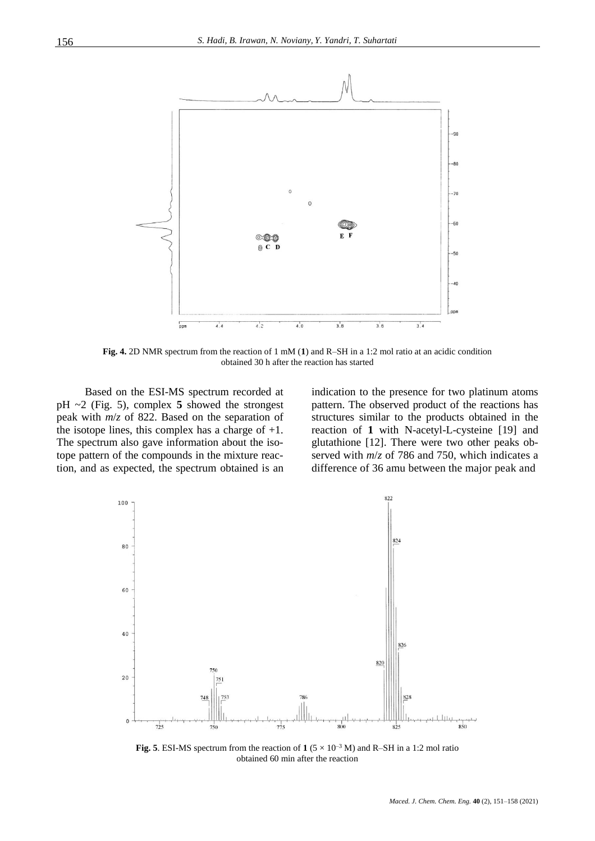

**Fig. 4.** 2D NMR spectrum from the reaction of 1 mM (**1**) and R–SH in a 1:2 mol ratio at an acidic condition obtained 30 h after the reaction has started

Based on the ESI-MS spectrum recorded at pH ~2 (Fig. 5), complex **5** showed the strongest peak with *m*/*z* of 822. Based on the separation of the isotope lines, this complex has a charge of  $+1$ . The spectrum also gave information about the isotope pattern of the compounds in the mixture reaction, and as expected, the spectrum obtained is an indication to the presence for two platinum atoms pattern. The observed product of the reactions has structures similar to the products obtained in the reaction of **1** with N-acetyl-L-cysteine [19] and glutathione [12]. There were two other peaks observed with *m*/*z* of 786 and 750, which indicates a difference of 36 amu between the major peak and



**Fig. 5**. ESI-MS spectrum from the reaction of  $1 (5 \times 10^{-3} \text{ M})$  and R-SH in a 1:2 mol ratio obtained 60 min after the reaction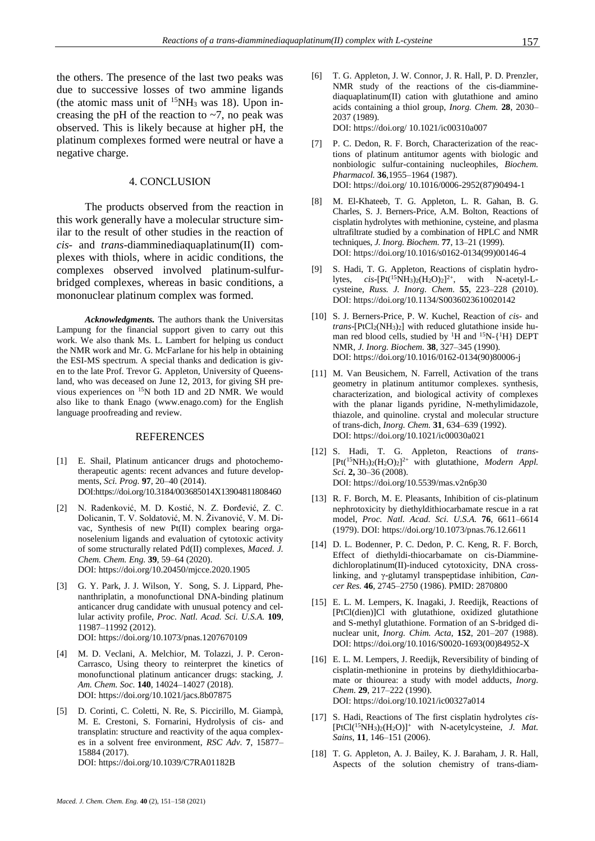the others. The presence of the last two peaks was due to successive losses of two ammine ligands (the atomic mass unit of  $15NH_3$  was 18). Upon increasing the pH of the reaction to  $\sim$ 7, no peak was observed. This is likely because at higher pH, the platinum complexes formed were neutral or have a negative charge.

### 4. CONCLUSION

The products observed from the reaction in this work generally have a molecular structure similar to the result of other studies in the reaction of *cis-* and *trans-*diamminediaquaplatinum(II) complexes with thiols, where in acidic conditions, the complexes observed involved platinum-sulfurbridged complexes, whereas in basic conditions, a mononuclear platinum complex was formed.

*Acknowledgments.* The authors thank the Universitas Lampung for the financial support given to carry out this work. We also thank Ms. L. Lambert for helping us conduct the NMR work and Mr. G. McFarlane for his help in obtaining the ESI-MS spectrum. A special thanks and dedication is given to the late Prof. Trevor G. Appleton, University of Queensland, who was deceased on June 12, 2013, for giving SH previous experiences on <sup>15</sup>N both 1D and 2D NMR. We would also like to thank Enago [\(www.enago.com\)](chrome-extension://flock.co/client_base/apps/conversation/www.enago.com) for the English language proofreading and review.

#### REFERENCES

- [1] E. Shail, Platinum anticancer drugs and photochemotherapeutic agents: recent advances and future developments, *Sci. Prog.* **97**, 20–40 (2014). DO[I:https://doi.org/10.3184/003685014X13904811808460](https://doi.org/10.3184/003685014X13904811808460)
- [2] N. Radenković, M. D. Kostić, N. Z. Đorđević, Z. C. Dolicanin, T. V. Soldatović, M. N. Živanović, V. M. Divac, Synthesis of new Pt(II) complex bearing organoselenium ligands and evaluation of cytotoxic activity of some structurally related Pd(II) complexes, *Maced. J. Chem. Chem. Eng.* **39**, 59–64 (2020). DOI[: https://doi.org/10.20450/mjcce.2020.1905](https://doi.org/10.20450/mjcce.2020.1905)
- [3] G. Y. Park, J. J. Wilson, Y. Song, S. J. Lippard, Phenanthriplatin, a monofunctional DNA-binding platinum anticancer drug candidate with unusual potency and cellular activity profile, *Proc. Natl. Acad. Sci. U.S.A.* **109**, 11987–11992 (2012). DOI[: https://doi.org/10.1073/pnas.1207670109](https://doi.org/10.1073/pnas.1207670109)
- [4] M. D. Veclani, A. Melchior, M. Tolazzi, J. P. Ceron-Carrasco, Using theory to reinterpret the kinetics of monofunctional platinum anticancer drugs: stacking, *J. Am. Chem. Soc.* **140**, 14024–14027 (2018). DOI[: https://doi.org/10.1021/jacs.8b07875](https://doi.org/10.1021/jacs.8b07875)
- [5] D. Corinti, C. Coletti, N. Re, S. Piccirillo, M. Giampà, M. E. Crestoni, S. Fornarini, Hydrolysis of cis- and transplatin: structure and reactivity of the aqua complexes in a solvent free environment, *RSC Adv.* **7**, 15877– 15884 (2017). DOI[: https://doi.org/10.1039/C7RA01182B](https://doi.org/10.1039/C7RA01182B)
- [6] T. G. Appleton, J. W. Connor, J. R. Hall, P. D. Prenzler, NMR study of the reactions of the cis-diamminediaquaplatinum(II) cation with glutathione and amino acids containing a thiol group, *Inorg. Chem.* **28**, 2030– 2037 (1989). DOI: https://doi.org/ 10.1021/ic00310a007
- [7] P. C. Dedon, R. F. Borch, Characterization of the reactions of platinum antitumor agents with biologic and nonbiologic sulfur-containing nucleophiles, *Biochem. Pharmacol.* **36**,1955–1964 (1987). DOI: https://doi.org/ 10.1016/0006-2952(87)90494-1
- [8] M. El-Khateeb, T. G. Appleton, L. R. Gahan, B. G. Charles, S. J. Berners-Price, A.M. Bolton, Reactions of cisplatin hydrolytes with methionine, cysteine, and plasma ultrafiltrate studied by a combination of HPLC and NMR techniques, *J. Inorg. Biochem.* **77**, 13–21 (1999). DOI[: https://doi.org/10.1016/s0162-0134\(99\)00146-4](https://doi.org/10.1016/s0162-0134(99)00146-4)
- [9] S. Hadi, T. G. Appleton, Reactions of cisplatin hydrolytes,  $cis$ -[Pt(<sup>15</sup>NH<sub>3</sub>)<sub>2</sub>(H<sub>2</sub>O)<sub>2</sub>]<sup>2+</sup>, with N-acetyl-Lcysteine, *Russ. J. Inorg. Chem.* **55**, 223–228 (2010). DOI[: https://doi.org/10.1134/S0036023610020142](https://doi.org/10.1134/S0036023610020142)
- [10] S. J. Berners-Price, P. W. Kuchel, Reaction of *cis* and *trans*-[PtCl2(NH3)2] with reduced glutathione inside human red blood cells, studied by  ${}^{1}H$  and  ${}^{15}N$ - $\{ {}^{1}H \}$  DEPT NMR, *J. Inorg. Biochem.* **38**, 327–345 (1990). DOI[: https://doi.org/10.1016/0162-0134\(90\)80006-j](https://doi.org/10.1016/0162-0134(90)80006-j)
- [11] M. Van Beusichem, N. Farrell, Activation of the trans geometry in platinum antitumor complexes. synthesis, characterization, and biological activity of complexes with the planar ligands pyridine, N-methylimidazole, thiazole, and quinoline. crystal and molecular structure of trans-dich, *Inorg. Chem.* **31**, 634–639 (1992). DOI[: https://doi.org/10.1021/ic00030a021](https://doi.org/10.1021/ic00030a021)
- [12] S. Hadi, T. G. Appleton, Reactions of *trans* [Pt(<sup>15</sup>NH3)2(H2O)2] 2+ with glutathione, *Modern Appl. Sci.* **2,** 30–36 (2008). DOI[: https://doi.org/10.5539/mas.v2n6p30](https://doi.org/10.5539/mas.v2n6p30)
- [13] R. F. Borch, M. E. Pleasants, Inhibition of cis-platinum nephrotoxicity by diethyldithiocarbamate rescue in a rat model, *Proc. Natl. Acad. Sci. U.S.A.* **76**, 6611–6614 (1979). DOI:<https://doi.org/10.1073/pnas.76.12.6611>
- [14] D. L. Bodenner, P. C. Dedon, P. C. Keng, R. F. Borch, Effect of diethyldi-thiocarbamate on cis-Diamminedichloroplatinum(II)-induced cytotoxicity, DNA crosslinking, and γ-glutamyl transpeptidase inhibition, *Cancer Res.* **46**, 2745–2750 (1986). PMID: 2870800
- [15] E. L. M. Lempers, K. Inagaki, J. Reedijk, Reactions of [PtCl(dien)]Cl with glutathione, oxidized glutathione and S-methyl glutathione. Formation of an S-bridged dinuclear unit, *Inorg. Chim. Acta*, **152**, 201–207 (1988). DOI[: https://doi.org/10.1016/S0020-1693\(00\)84952-X](https://doi.org/10.1016/S0020-1693(00)84952-X)
- [16] E. L. M. Lempers, J. Reedijk, Reversibility of binding of cisplatin-methionine in proteins by diethyldithiocarbamate or thiourea: a study with model adducts, *Inorg. Chem.* **29**, 217–222 (1990). DOI[: https://doi.org/10.1021/ic00327a014](https://doi.org/10.1021/ic00327a014)
- [17] S. Hadi, Reactions of The first cisplatin hydrolytes *cis* [PtCl(<sup>15</sup>NH3)2(H2O)]<sup>+</sup> with N-acetylcysteine, *J. Mat. Sains*, **11**, 146–151 (2006).
- [18] T. G. Appleton, A. J. Bailey, K. J. Baraham, J. R. Hall, Aspects of the solution chemistry of trans-diam-